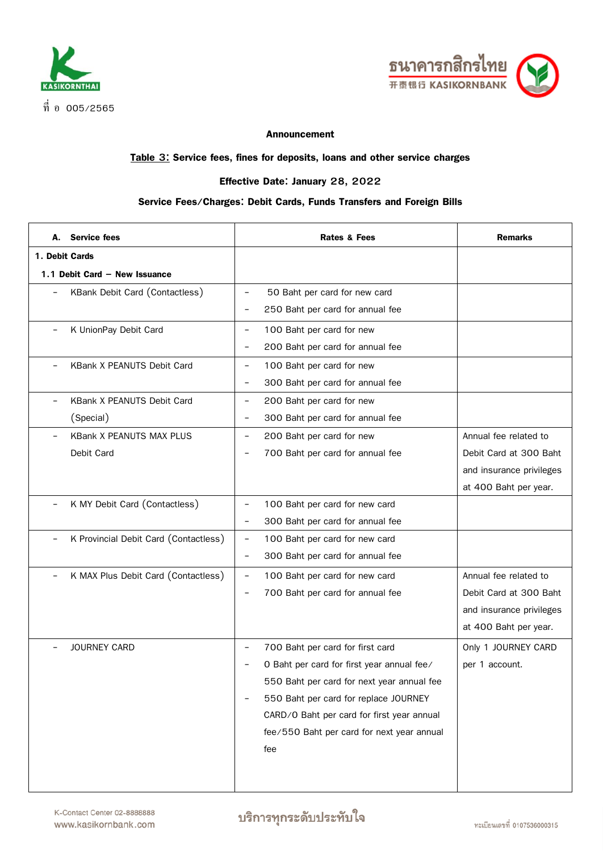



## **Announcement**

## **Table 3: Service fees, fines for deposits, loans and other service charges**

## **Effective Date: January 28, 2022**

## **Service Fees/Charges: Debit Cards, Funds Transfers and Foreign Bills**

| А.                | <b>Service fees</b>                   |                          | <b>Rates &amp; Fees</b>                    | <b>Remarks</b>           |
|-------------------|---------------------------------------|--------------------------|--------------------------------------------|--------------------------|
| 1. Debit Cards    |                                       |                          |                                            |                          |
|                   | 1.1 Debit Card - New Issuance         |                          |                                            |                          |
|                   | KBank Debit Card (Contactless)        |                          | 50 Baht per card for new card              |                          |
|                   |                                       | $\overline{\phantom{a}}$ | 250 Baht per card for annual fee           |                          |
|                   | K UnionPay Debit Card                 | $\qquad \qquad -$        | 100 Baht per card for new                  |                          |
|                   |                                       | $\overline{\phantom{0}}$ | 200 Baht per card for annual fee           |                          |
|                   | <b>KBank X PEANUTS Debit Card</b>     | $\overline{\phantom{a}}$ | 100 Baht per card for new                  |                          |
|                   |                                       | $\overline{\phantom{a}}$ | 300 Baht per card for annual fee           |                          |
|                   | KBank X PEANUTS Debit Card            | $\overline{\phantom{a}}$ | 200 Baht per card for new                  |                          |
|                   | (Special)                             | $\qquad \qquad -$        | 300 Baht per card for annual fee           |                          |
|                   | <b>KBank X PEANUTS MAX PLUS</b>       | $\qquad \qquad -$        | 200 Baht per card for new                  | Annual fee related to    |
|                   | Debit Card                            |                          | 700 Baht per card for annual fee           | Debit Card at 300 Baht   |
|                   |                                       |                          |                                            | and insurance privileges |
|                   |                                       |                          |                                            | at 400 Baht per year.    |
| $\qquad \qquad -$ | K MY Debit Card (Contactless)         | $\overline{\phantom{a}}$ | 100 Baht per card for new card             |                          |
|                   |                                       | $\overline{\phantom{m}}$ | 300 Baht per card for annual fee           |                          |
|                   | K Provincial Debit Card (Contactless) | $\overline{\phantom{a}}$ | 100 Baht per card for new card             |                          |
|                   |                                       | $\overline{\phantom{a}}$ | 300 Baht per card for annual fee           |                          |
|                   | K MAX Plus Debit Card (Contactless)   | $\overline{\phantom{a}}$ | 100 Baht per card for new card             | Annual fee related to    |
|                   |                                       |                          | 700 Baht per card for annual fee           | Debit Card at 300 Baht   |
|                   |                                       |                          |                                            | and insurance privileges |
|                   |                                       |                          |                                            | at 400 Baht per year.    |
|                   | JOURNEY CARD                          |                          | 700 Baht per card for first card           | Only 1 JOURNEY CARD      |
|                   |                                       |                          | O Baht per card for first year annual fee/ | per 1 account.           |
|                   |                                       |                          | 550 Baht per card for next year annual fee |                          |
|                   |                                       |                          | 550 Baht per card for replace JOURNEY      |                          |
|                   |                                       |                          | CARD/O Baht per card for first year annual |                          |
|                   |                                       |                          | fee/550 Baht per card for next year annual |                          |
|                   |                                       |                          | fee                                        |                          |
|                   |                                       |                          |                                            |                          |
|                   |                                       |                          |                                            |                          |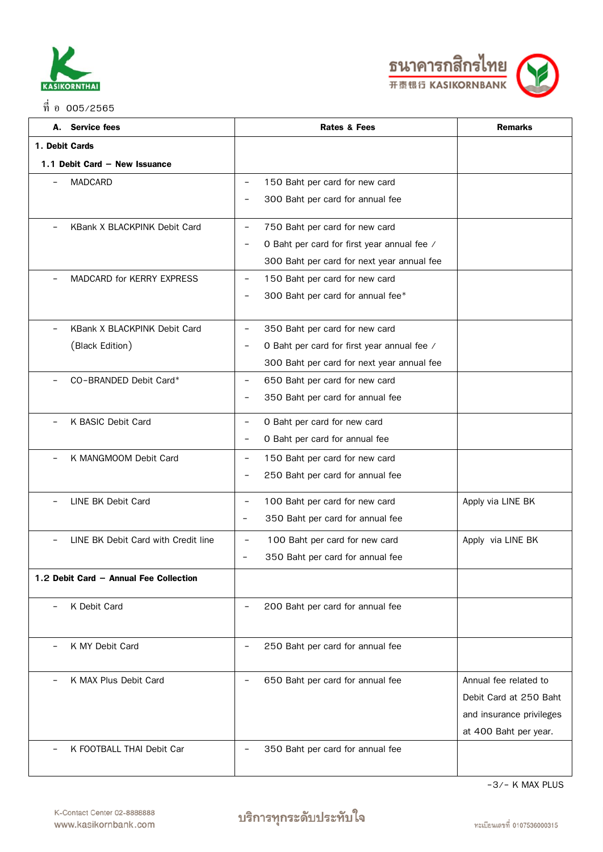



|                | A. Service fees                        | <b>Rates &amp; Fees</b>                                                     | <b>Remarks</b>           |
|----------------|----------------------------------------|-----------------------------------------------------------------------------|--------------------------|
| 1. Debit Cards |                                        |                                                                             |                          |
|                | 1.1 Debit Card - New Issuance          |                                                                             |                          |
|                | <b>MADCARD</b>                         | 150 Baht per card for new card<br>$\overline{\phantom{a}}$                  |                          |
|                |                                        | 300 Baht per card for annual fee                                            |                          |
|                |                                        | 750 Baht per card for new card<br>$\overline{\phantom{a}}$                  |                          |
|                | KBank X BLACKPINK Debit Card           | $\overline{\phantom{a}}$                                                    |                          |
|                |                                        | O Baht per card for first year annual fee /                                 |                          |
|                |                                        | 300 Baht per card for next year annual fee                                  |                          |
|                | <b>MADCARD for KERRY EXPRESS</b>       | 150 Baht per card for new card<br>$\overline{\phantom{m}}$                  |                          |
|                |                                        | 300 Baht per card for annual fee*                                           |                          |
|                | KBank X BLACKPINK Debit Card           | 350 Baht per card for new card<br>$\overline{\phantom{m}}$                  |                          |
|                | (Black Edition)                        | O Baht per card for first year annual fee /<br>$\qquad \qquad \blacksquare$ |                          |
|                |                                        | 300 Baht per card for next year annual fee                                  |                          |
|                | CO-BRANDED Debit Card*                 | 650 Baht per card for new card<br>$\overline{\phantom{a}}$                  |                          |
|                |                                        | 350 Baht per card for annual fee<br>$\overline{\phantom{a}}$                |                          |
|                | K BASIC Debit Card                     | O Baht per card for new card<br>$\overline{\phantom{a}}$                    |                          |
|                |                                        | O Baht per card for annual fee<br>$\overline{\phantom{a}}$                  |                          |
|                | K MANGMOOM Debit Card                  | 150 Baht per card for new card<br>$\overline{\phantom{a}}$                  |                          |
|                |                                        | 250 Baht per card for annual fee<br>$\overline{\phantom{a}}$                |                          |
|                | LINE BK Debit Card                     | 100 Baht per card for new card<br>$\overline{\phantom{0}}$                  | Apply via LINE BK        |
|                |                                        | 350 Baht per card for annual fee<br>$\overline{\phantom{a}}$                |                          |
|                | LINE BK Debit Card with Credit line    | 100 Baht per card for new card<br>$\overline{\phantom{a}}$                  | Apply via LINE BK        |
|                |                                        | 350 Baht per card for annual fee<br>$\overline{\phantom{a}}$                |                          |
|                | 1.2 Debit Card - Annual Fee Collection |                                                                             |                          |
|                | K Debit Card                           | 200 Baht per card for annual fee                                            |                          |
|                |                                        |                                                                             |                          |
|                | K MY Debit Card                        | 250 Baht per card for annual fee                                            |                          |
|                | K MAX Plus Debit Card                  | 650 Baht per card for annual fee                                            | Annual fee related to    |
|                |                                        |                                                                             | Debit Card at 250 Baht   |
|                |                                        |                                                                             | and insurance privileges |
|                |                                        |                                                                             | at 400 Baht per year.    |
|                | K FOOTBALL THAI Debit Car              | 350 Baht per card for annual fee                                            |                          |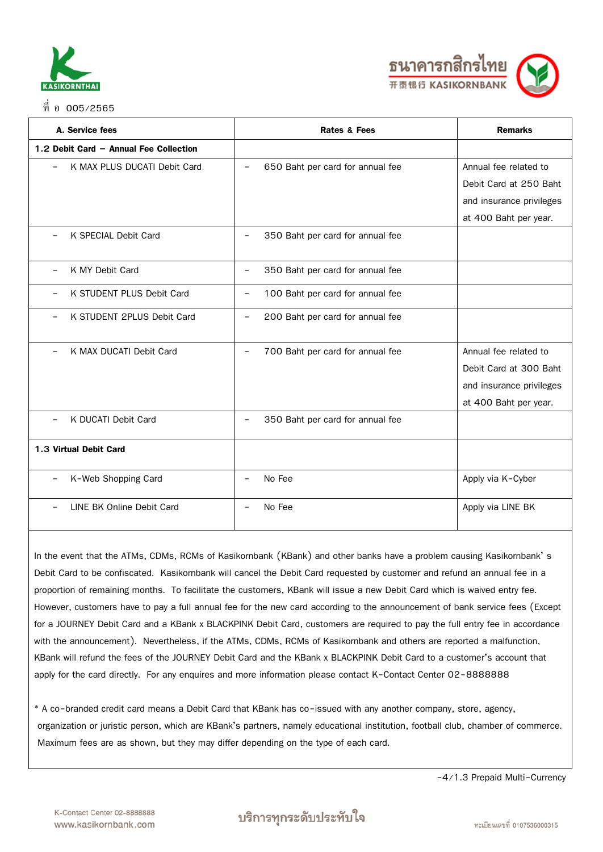

#### $\overrightarrow{\mathfrak{n}}$  อ 005/2565



| A. Service fees                                        | <b>Rates &amp; Fees</b>          | <b>Remarks</b>           |
|--------------------------------------------------------|----------------------------------|--------------------------|
| 1.2 Debit Card - Annual Fee Collection                 |                                  |                          |
| K MAX PLUS DUCATI Debit Card                           | 650 Baht per card for annual fee | Annual fee related to    |
|                                                        |                                  | Debit Card at 250 Baht   |
|                                                        |                                  | and insurance privileges |
|                                                        |                                  | at 400 Baht per year.    |
| K SPECIAL Debit Card                                   | 350 Baht per card for annual fee |                          |
| K MY Debit Card<br>$\overline{\phantom{0}}$            | 350 Baht per card for annual fee |                          |
| K STUDENT PLUS Debit Card                              | 100 Baht per card for annual fee |                          |
| K STUDENT 2PLUS Debit Card<br>$\overline{\phantom{0}}$ | 200 Baht per card for annual fee |                          |
| K MAX DUCATI Debit Card<br>$\qquad \qquad -$           | 700 Baht per card for annual fee | Annual fee related to    |
|                                                        |                                  | Debit Card at 300 Baht   |
|                                                        |                                  | and insurance privileges |
|                                                        |                                  | at 400 Baht per year.    |
| K DUCATI Debit Card                                    | 350 Baht per card for annual fee |                          |
| 1.3 Virtual Debit Card                                 |                                  |                          |
| K-Web Shopping Card                                    | No Fee                           | Apply via K-Cyber        |
| LINE BK Online Debit Card                              | No Fee                           | Apply via LINE BK        |

In the event that the ATMs, CDMs, RCMs of Kasikornbank (KBank) and other banks have a problem causing Kasikornbank' s Debit Card to be confiscated. Kasikornbank will cancel the Debit Card requested by customer and refund an annual fee in a proportion of remaining months. To facilitate the customers, KBank will issue a new Debit Card which is waived entry fee. However, customers have to pay a full annual fee for the new card according to the announcement of bank service fees (Except for a JOURNEY Debit Card and a KBank x BLACKPINK Debit Card, customers are required to pay the full entry fee in accordance with the announcement). Nevertheless, if the ATMs, CDMs, RCMs of Kasikornbank and others are reported a malfunction, KBank will refund the fees of the JOURNEY Debit Card and the KBank x BLACKPINK Debit Card to a customer's account that apply for the card directly. For any enquires and more information please contact K-Contact Center 02-8888888

\* A co-branded credit card means a Debit Card that KBank has co-issued with any another company, store, agency, organization or juristic person, which are KBank's partners, namely educational institution, football club, chamber of commerce. Maximum fees are as shown, but they may differ depending on the type of each card.

-4/1.3 Prepaid Multi-Currency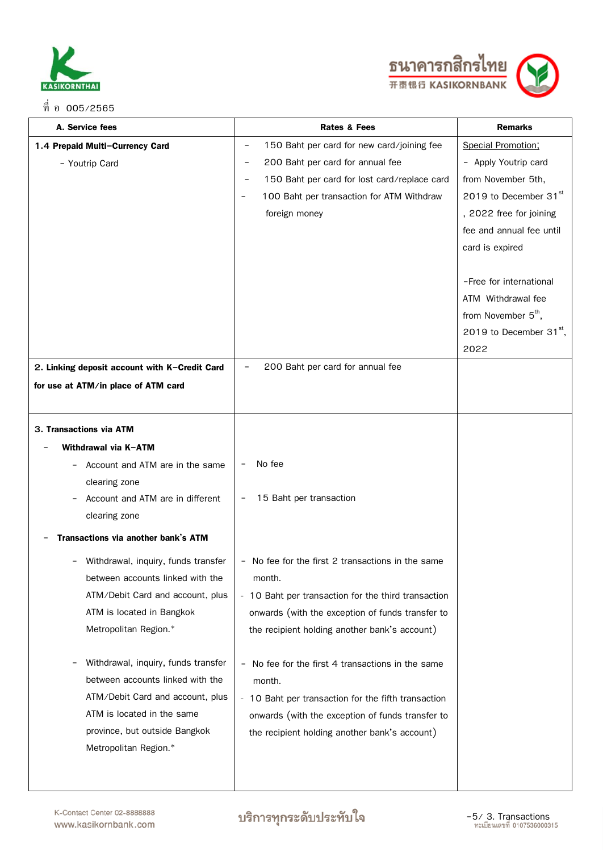



| A. Service fees                                                         | <b>Rates &amp; Fees</b>                                                     | <b>Remarks</b>                  |
|-------------------------------------------------------------------------|-----------------------------------------------------------------------------|---------------------------------|
| 1.4 Prepaid Multi-Currency Card                                         | 150 Baht per card for new card/joining fee                                  | Special Promotion;              |
| - Youtrip Card                                                          | 200 Baht per card for annual fee                                            | - Apply Youtrip card            |
|                                                                         | 150 Baht per card for lost card/replace card                                | from November 5th,              |
|                                                                         | 100 Baht per transaction for ATM Withdraw                                   | 2019 to December 31st           |
|                                                                         | foreign money                                                               | , 2022 free for joining         |
|                                                                         |                                                                             | fee and annual fee until        |
|                                                                         |                                                                             | card is expired                 |
|                                                                         |                                                                             |                                 |
|                                                                         |                                                                             | -Free for international         |
|                                                                         |                                                                             | ATM Withdrawal fee              |
|                                                                         |                                                                             | from November 5 <sup>th</sup> , |
|                                                                         |                                                                             | 2019 to December $31^{st}$ ,    |
|                                                                         |                                                                             | 2022                            |
| 2. Linking deposit account with K-Credit Card                           | 200 Baht per card for annual fee                                            |                                 |
| for use at ATM/in place of ATM card                                     |                                                                             |                                 |
|                                                                         |                                                                             |                                 |
| 3. Transactions via ATM                                                 |                                                                             |                                 |
| Withdrawal via K-ATM                                                    |                                                                             |                                 |
| Account and ATM are in the same                                         | No fee                                                                      |                                 |
| clearing zone                                                           |                                                                             |                                 |
| Account and ATM are in different                                        | 15 Baht per transaction                                                     |                                 |
| clearing zone                                                           |                                                                             |                                 |
|                                                                         |                                                                             |                                 |
| Transactions via another bank's ATM                                     |                                                                             |                                 |
| Withdrawal, inquiry, funds transfer<br>-                                | - No fee for the first 2 transactions in the same                           |                                 |
| between accounts linked with the                                        | month.                                                                      |                                 |
| ATM/Debit Card and account, plus                                        | - 10 Baht per transaction for the third transaction                         |                                 |
| ATM is located in Bangkok                                               | onwards (with the exception of funds transfer to                            |                                 |
| Metropolitan Region.*                                                   | the recipient holding another bank's account)                               |                                 |
|                                                                         |                                                                             |                                 |
| Withdrawal, inquiry, funds transfer<br>between accounts linked with the | No fee for the first 4 transactions in the same<br>$\overline{\phantom{a}}$ |                                 |
| ATM/Debit Card and account, plus                                        | month.                                                                      |                                 |
| ATM is located in the same                                              | - 10 Baht per transaction for the fifth transaction                         |                                 |
| province, but outside Bangkok                                           | onwards (with the exception of funds transfer to                            |                                 |
| Metropolitan Region.*                                                   | the recipient holding another bank's account)                               |                                 |
|                                                                         |                                                                             |                                 |
|                                                                         |                                                                             |                                 |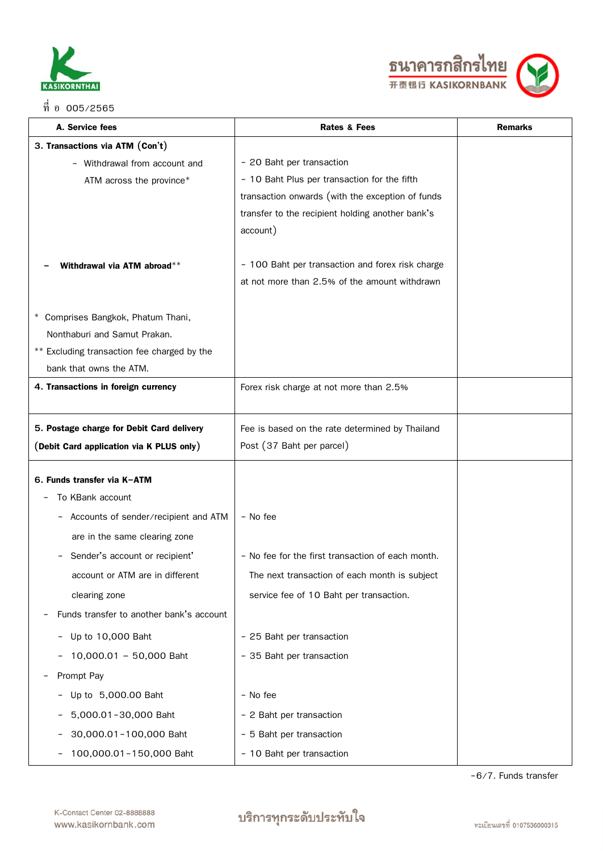

ที่ อ 005/2565



| A. Service fees                             | <b>Rates &amp; Fees</b>                           | <b>Remarks</b> |
|---------------------------------------------|---------------------------------------------------|----------------|
| 3. Transactions via ATM (Con't)             |                                                   |                |
| - Withdrawal from account and               | - 20 Baht per transaction                         |                |
| ATM across the province*                    | - 10 Baht Plus per transaction for the fifth      |                |
|                                             | transaction onwards (with the exception of funds  |                |
|                                             | transfer to the recipient holding another bank's  |                |
|                                             | account)                                          |                |
| Withdrawal via ATM abroad**                 | - 100 Baht per transaction and forex risk charge  |                |
|                                             | at not more than 2.5% of the amount withdrawn     |                |
|                                             |                                                   |                |
| * Comprises Bangkok, Phatum Thani,          |                                                   |                |
| Nonthaburi and Samut Prakan.                |                                                   |                |
| ** Excluding transaction fee charged by the |                                                   |                |
| bank that owns the ATM.                     |                                                   |                |
| 4. Transactions in foreign currency         | Forex risk charge at not more than 2.5%           |                |
|                                             |                                                   |                |
| 5. Postage charge for Debit Card delivery   | Fee is based on the rate determined by Thailand   |                |
| (Debit Card application via K PLUS only)    | Post (37 Baht per parcel)                         |                |
| 6. Funds transfer via K-ATM                 |                                                   |                |
| To KBank account                            |                                                   |                |
| Accounts of sender/recipient and ATM        | - No fee                                          |                |
| are in the same clearing zone               |                                                   |                |
| Sender's account or recipient'              | - No fee for the first transaction of each month. |                |
| account or ATM are in different             | The next transaction of each month is subject     |                |
| clearing zone                               | service fee of 10 Baht per transaction.           |                |
| Funds transfer to another bank's account    |                                                   |                |
| Up to 10,000 Baht                           | - 25 Baht per transaction                         |                |
| 10,000.01 - 50,000 Baht                     | - 35 Baht per transaction                         |                |
| Prompt Pay                                  |                                                   |                |
| Up to 5,000.00 Baht                         | - No fee                                          |                |
| 5,000.01-30,000 Baht                        | - 2 Baht per transaction                          |                |
| 30,000.01-100,000 Baht                      | - 5 Baht per transaction                          |                |
| 100,000.01-150,000 Baht                     | - 10 Baht per transaction                         |                |

-6/7. Funds transfer

# บริการทุกระดับประทับใจ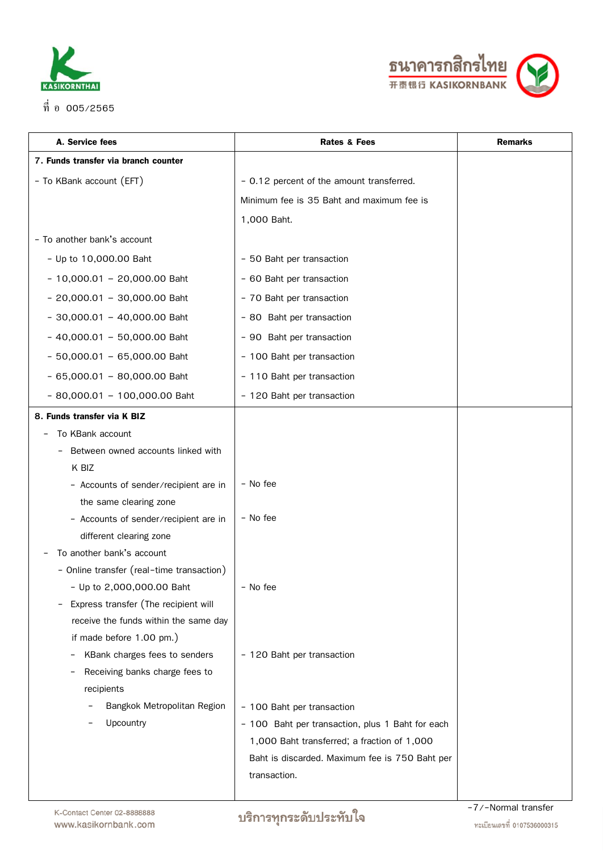



| A. Service fees                           | <b>Rates &amp; Fees</b>                          | <b>Remarks</b>     |
|-------------------------------------------|--------------------------------------------------|--------------------|
| 7. Funds transfer via branch counter      |                                                  |                    |
| - To KBank account (EFT)                  | - 0.12 percent of the amount transferred.        |                    |
|                                           | Minimum fee is 35 Baht and maximum fee is        |                    |
|                                           | 1,000 Baht.                                      |                    |
| - To another bank's account               |                                                  |                    |
| - Up to 10,000.00 Baht                    | - 50 Baht per transaction                        |                    |
| $-10,000.01 - 20,000.00$ Baht             | - 60 Baht per transaction                        |                    |
| $-20,000.01 - 30,000.00$ Baht             | - 70 Baht per transaction                        |                    |
| $-30,000.01 - 40,000.00$ Baht             | - 80 Baht per transaction                        |                    |
| $-40,000.01 - 50,000.00$ Baht             | - 90 Baht per transaction                        |                    |
| $-50,000.01 - 65,000.00$ Baht             | - 100 Baht per transaction                       |                    |
| $-65,000.01 - 80,000.00$ Baht             | - 110 Baht per transaction                       |                    |
| $-80,000.01 - 100,000.00$ Baht            | - 120 Baht per transaction                       |                    |
| 8. Funds transfer via K BIZ               |                                                  |                    |
| To KBank account                          |                                                  |                    |
| Between owned accounts linked with        |                                                  |                    |
| K BIZ                                     |                                                  |                    |
| - Accounts of sender/recipient are in     | - No fee                                         |                    |
| the same clearing zone                    |                                                  |                    |
| - Accounts of sender/recipient are in     | - No fee                                         |                    |
| different clearing zone                   |                                                  |                    |
| To another bank's account                 |                                                  |                    |
| - Online transfer (real-time transaction) |                                                  |                    |
| - Up to 2,000,000.00 Baht                 | - No fee                                         |                    |
| Express transfer (The recipient will      |                                                  |                    |
| receive the funds within the same day     |                                                  |                    |
| if made before 1.00 pm.)                  |                                                  |                    |
| KBank charges fees to senders             | - 120 Baht per transaction                       |                    |
| Receiving banks charge fees to            |                                                  |                    |
| recipients                                |                                                  |                    |
| Bangkok Metropolitan Region               | - 100 Baht per transaction                       |                    |
| Upcountry                                 | - 100 Baht per transaction, plus 1 Baht for each |                    |
|                                           | 1,000 Baht transferred; a fraction of 1,000      |                    |
|                                           | Baht is discarded. Maximum fee is 750 Baht per   |                    |
|                                           | transaction.                                     |                    |
|                                           |                                                  | 7/-Normal transfor |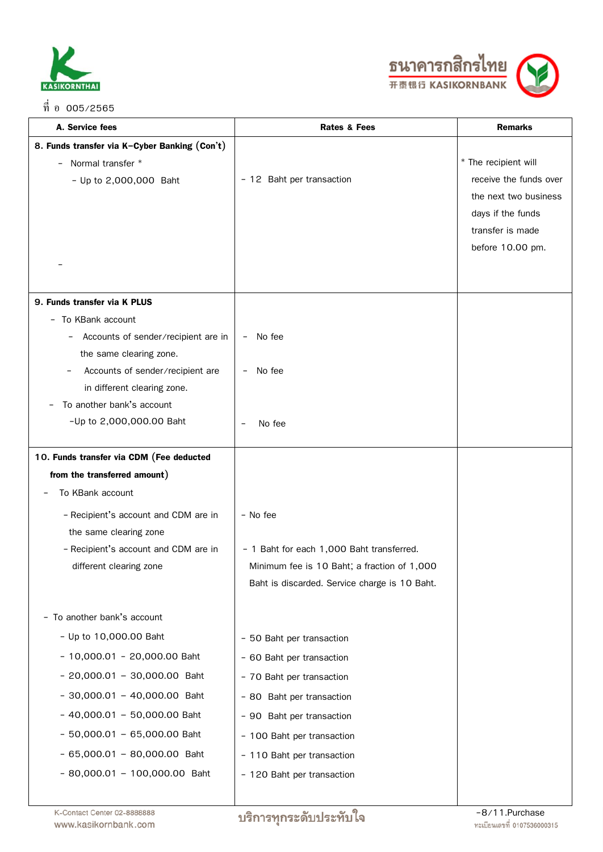

ที่ อ 005/2565



| A. Service fees                                | <b>Rates &amp; Fees</b>                       | <b>Remarks</b>         |
|------------------------------------------------|-----------------------------------------------|------------------------|
| 8. Funds transfer via K-Cyber Banking (Con't)  |                                               |                        |
| Normal transfer *<br>$\overline{\phantom{0}}$  |                                               | * The recipient will   |
| - Up to 2,000,000 Baht                         | - 12 Baht per transaction                     | receive the funds over |
|                                                |                                               | the next two business  |
|                                                |                                               | days if the funds      |
|                                                |                                               | transfer is made       |
|                                                |                                               | before 10.00 pm.       |
|                                                |                                               |                        |
| 9. Funds transfer via K PLUS                   |                                               |                        |
| - To KBank account                             |                                               |                        |
| Accounts of sender/recipient are in            | No fee<br>$\overline{\phantom{a}}$            |                        |
| the same clearing zone.                        |                                               |                        |
| Accounts of sender/recipient are               | No fee                                        |                        |
| in different clearing zone.                    |                                               |                        |
| To another bank's account<br>$\qquad \qquad -$ |                                               |                        |
| -Up to 2,000,000.00 Baht                       | No fee<br>$\qquad \qquad -$                   |                        |
| 10. Funds transfer via CDM (Fee deducted       |                                               |                        |
| from the transferred amount)                   |                                               |                        |
| To KBank account                               |                                               |                        |
| - Recipient's account and CDM are in           | - No fee                                      |                        |
| the same clearing zone                         |                                               |                        |
| - Recipient's account and CDM are in           | - 1 Baht for each 1,000 Baht transferred.     |                        |
| different clearing zone                        | Minimum fee is 10 Baht; a fraction of 1,000   |                        |
|                                                | Baht is discarded. Service charge is 10 Baht. |                        |
| - To another bank's account                    |                                               |                        |
| - Up to 10,000.00 Baht                         | - 50 Baht per transaction                     |                        |
| $-10,000.01 - 20,000.00$ Baht                  | - 60 Baht per transaction                     |                        |
| $-20,000.01 - 30,000.00$ Baht                  | - 70 Baht per transaction                     |                        |
| $-30,000.01 - 40,000.00$ Baht                  | - 80 Baht per transaction                     |                        |
| $-40,000.01 - 50,000.00$ Baht                  | - 90 Baht per transaction                     |                        |
| $-50,000.01 - 65,000.00$ Baht                  | - 100 Baht per transaction                    |                        |
| $-65,000.01 - 80,000.00$ Baht                  | - 110 Baht per transaction                    |                        |
| $-80,000.01 - 100,000.00$ Baht                 | - 120 Baht per transaction                    |                        |
|                                                |                                               |                        |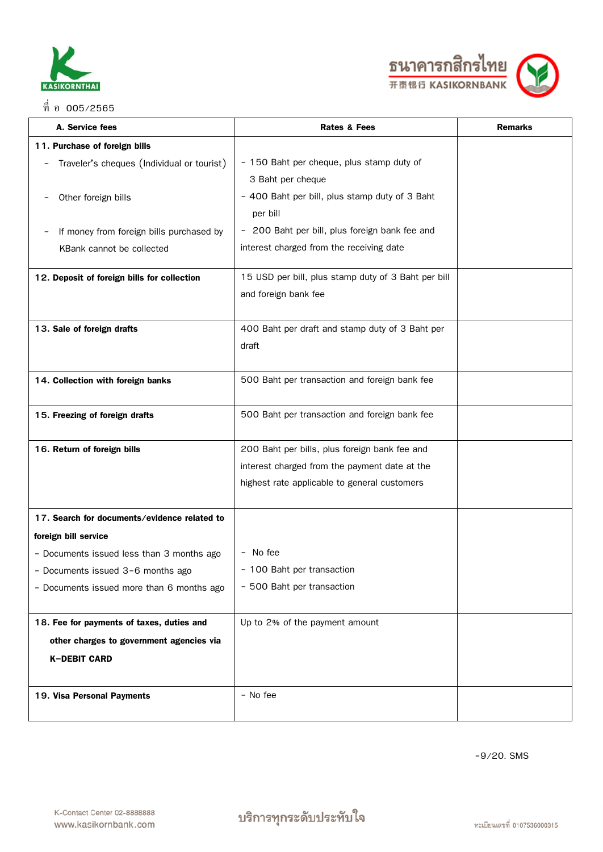



| A. Service fees                              | <b>Rates &amp; Fees</b>                                           | <b>Remarks</b> |
|----------------------------------------------|-------------------------------------------------------------------|----------------|
| 11. Purchase of foreign bills                |                                                                   |                |
| Traveler's cheques (Individual or tourist)   | - 150 Baht per cheque, plus stamp duty of                         |                |
|                                              | 3 Baht per cheque                                                 |                |
| Other foreign bills                          | - 400 Baht per bill, plus stamp duty of 3 Baht                    |                |
|                                              | per bill                                                          |                |
| If money from foreign bills purchased by     | 200 Baht per bill, plus foreign bank fee and<br>$\qquad \qquad -$ |                |
| KBank cannot be collected                    | interest charged from the receiving date                          |                |
|                                              |                                                                   |                |
| 12. Deposit of foreign bills for collection  | 15 USD per bill, plus stamp duty of 3 Baht per bill               |                |
|                                              | and foreign bank fee                                              |                |
| 13. Sale of foreign drafts                   | 400 Baht per draft and stamp duty of 3 Baht per                   |                |
|                                              | draft                                                             |                |
|                                              |                                                                   |                |
| 14. Collection with foreign banks            | 500 Baht per transaction and foreign bank fee                     |                |
|                                              |                                                                   |                |
| 15. Freezing of foreign drafts               | 500 Baht per transaction and foreign bank fee                     |                |
|                                              |                                                                   |                |
| 16. Return of foreign bills                  | 200 Baht per bills, plus foreign bank fee and                     |                |
|                                              | interest charged from the payment date at the                     |                |
|                                              | highest rate applicable to general customers                      |                |
|                                              |                                                                   |                |
| 17. Search for documents/evidence related to |                                                                   |                |
| foreign bill service                         |                                                                   |                |
| - Documents issued less than 3 months ago    | - No fee                                                          |                |
| - Documents issued 3-6 months ago            | 100 Baht per transaction                                          |                |
| - Documents issued more than 6 months ago    | - 500 Baht per transaction                                        |                |
|                                              |                                                                   |                |
| 18. Fee for payments of taxes, duties and    | Up to 2% of the payment amount                                    |                |
| other charges to government agencies via     |                                                                   |                |
| <b>K-DEBIT CARD</b>                          |                                                                   |                |
|                                              |                                                                   |                |
| 19. Visa Personal Payments                   | - No fee                                                          |                |
|                                              |                                                                   |                |

-9/20. SMS